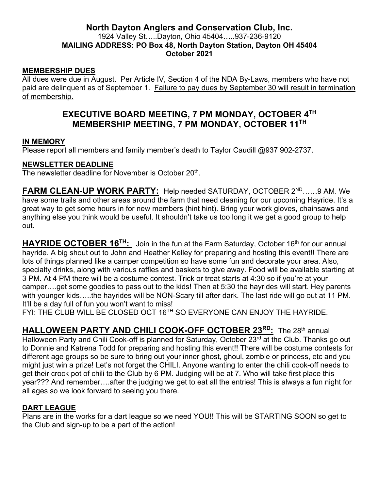### **North Dayton Anglers and Conservation Club, Inc.** 1924 Valley St…..Dayton, Ohio 45404…..937-236-9120 **MAILING ADDRESS: PO Box 48, North Dayton Station, Dayton OH 45404 October 2021**

#### **MEMBERSHIP DUES**

All dues were due in August. Per Article IV, Section 4 of the NDA By-Laws, members who have not paid are delinquent as of September 1. Failure to pay dues by September 30 will result in termination of membership.

## **EXECUTIVE BOARD MEETING, 7 PM MONDAY, OCTOBER 4TH MEMBERSHIP MEETING, 7 PM MONDAY, OCTOBER 11TH**

#### **IN MEMORY**

Please report all members and family member's death to Taylor Caudill @937 902-2737.

#### **NEWSLETTER DEADLINE**

The newsletter deadline for November is October 20<sup>th</sup>.

**FARM CLEAN-UP WORK PARTY:** Help needed SATURDAY, OCTOBER 2<sup>ND</sup>……9 AM. We have some trails and other areas around the farm that need cleaning for our upcoming Hayride. It's a great way to get some hours in for new members (hint hint). Bring your work gloves, chainsaws and anything else you think would be useful. It shouldn't take us too long it we get a good group to help out.

HAYRIDE OCTOBER 16<sup>TH</sup>: Join in the fun at the Farm Saturday, October 16<sup>th</sup> for our annual hayride. A big shout out to John and Heather Kelley for preparing and hosting this event!! There are lots of things planned like a camper competition so have some fun and decorate your area. Also, specialty drinks, along with various raffles and baskets to give away. Food will be available starting at 3 PM. At 4 PM there will be a costume contest. Trick or treat starts at 4:30 so if you're at your camper….get some goodies to pass out to the kids! Then at 5:30 the hayrides will start. Hey parents with younger kids…..the hayrides will be NON-Scary till after dark. The last ride will go out at 11 PM. It'll be a day full of fun you won't want to miss!

FYI: THE CLUB WILL BE CLOSED OCT 16TH SO EVERYONE CAN ENJOY THE HAYRIDE.

**HALLOWEEN PARTY AND CHILI COOK-OFF OCTOBER 23<sup>RD</sup>:** The 28<sup>th</sup> annual Halloween Party and Chili Cook-off is planned for Saturday, October 23<sup>rd</sup> at the Club. Thanks go out to Donnie and Katrena Todd for preparing and hosting this event!! There will be costume contests for different age groups so be sure to bring out your inner ghost, ghoul, zombie or princess, etc and you might just win a prize! Let's not forget the CHILI. Anyone wanting to enter the chili cook-off needs to get their crock pot of chili to the Club by 6 PM. Judging will be at 7. Who will take first place this year??? And remember….after the judging we get to eat all the entries! This is always a fun night for all ages so we look forward to seeing you there.

#### **DART LEAGUE**

Plans are in the works for a dart league so we need YOU!! This will be STARTING SOON so get to the Club and sign-up to be a part of the action!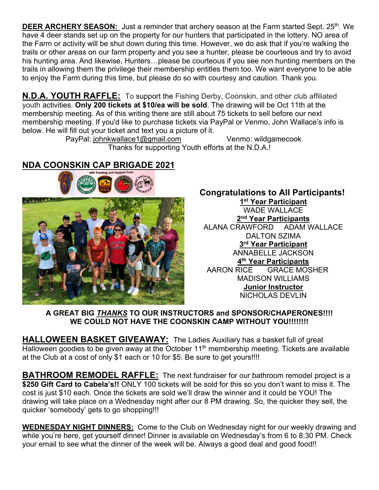**DEER ARCHERY SEASON:** Just a reminder that archery season at the Farm started Sept. 25<sup>th</sup>. We have 4 deer stands set up on the property for our hunters that participated in the lottery. NO area of the Farm or activity will be shut down during this time. However, we do ask that if you're walking the trails or other areas on our farm property and you see a hunter, please be courteous and try to avoid his hunting area. And likewise, Hunters…please be courteous if you see non hunting members on the trails in allowing them the privilege their membership entitles them too. We want everyone to be able to enjoy the Farm during this time, but please do so with courtesy and caution. Thank you.

**N.D.A. YOUTH RAFFLE:** To support the Fishing Derby, Coonskin, and other club affiliated youth activities. **Only 200 tickets at \$10/ea will be sold**. The drawing will be Oct 11th at the membership meeting. As of this writing there are still about 75 tickets to sell before our next membership meeting. If you'd like to purchase tickets via PayPal or Venmo, John Wallace's info is below. He will fill out your ticket and text you a picture of it.

 PayPal: johnkwallace1@gmail.com Venmo: wildgamecook Thanks for supporting Youth efforts at the N.D.A.!

# **NDA COONSKIN CAP BRIGADE 2021**



# **Congratulations to All Participants!**

**1st Year Participant** WADE WALLACE **2nd Year Participants** ALANA CRAWFORD ADAM WALLACE DALTON SZIMA **3rd Year Participant** ANNABELLE JACKSON **4th Year Participants** AARON RICE GRACE MOSHER MADISON WILLIAMS **Junior Instructor** NICHOLAS DEVLIN

### **A GREAT BIG** *THANKS* **TO OUR INSTRUCTORS and SPONSOR/CHAPERONES!!!! WE COULD NOT HAVE THE COONSKIN CAMP WITHOUT YOU!!!!!!!!**

**HALLOWEEN BASKET GIVEAWAY:** The Ladies Auxiliary has a basket full of great Halloween goodies to be given away at the October 11<sup>th</sup> membership meeting. Tickets are available at the Club at a cost of only \$1 each or 10 for \$5. Be sure to get yours!!!!

**BATHROOM REMODEL RAFFLE:** The next fundraiser for our bathroom remodel project is a **\$250 Gift Card to Cabela's!!** ONLY 100 tickets will be sold for this so you don't want to miss it. The cost is just \$10 each. Once the tickets are sold we'll draw the winner and it could be YOU! The drawing will take place on a Wednesday night after our 8 PM drawing. So, the quicker they sell, the quicker 'somebody' gets to go shopping!!!

**WEDNESDAY NIGHT DINNERS:** Come to the Club on Wednesday night for our weekly drawing and while you're here, get yourself dinner! Dinner is available on Wednesday's from 6 to 8:30 PM. Check your email to see what the dinner of the week will be. Always a good deal and good food!!